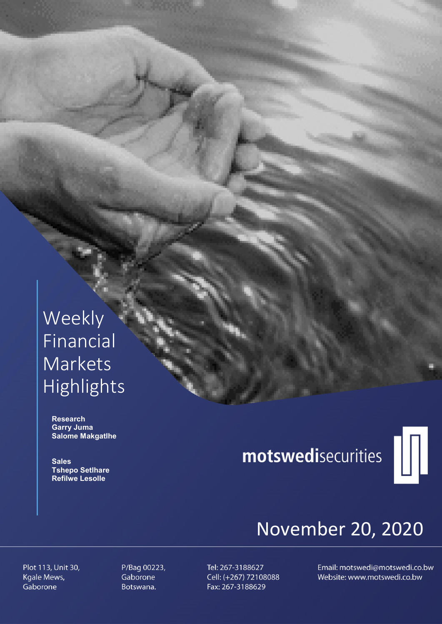# Weekly Financial Markets Highlights

 Research Garry Juma Salome Makgatlhe

**Sales**  Tshepo Setlhare Refilwe Lesolle

# motswedisecurities



# November 20, 2020

Plot 113, Unit 30, Kgale Mews, Gaborone

P/Bag 00223, Gaborone Botswana.

Tel: 267-3188627 Cell: (+267) 72108088 Fax: 267-3188629

Email: motswedi@motswedi.co.bw Website: www.motswedi.co.bw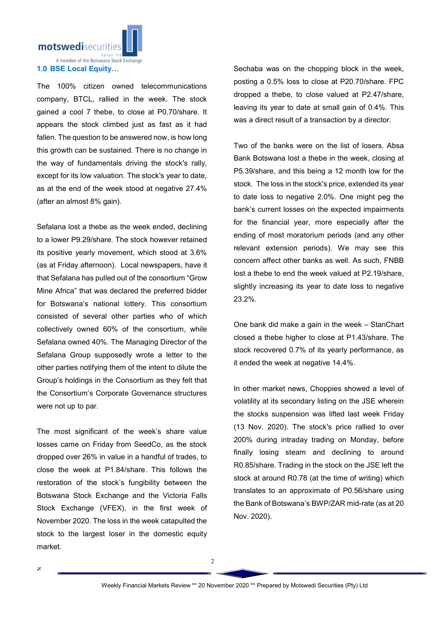

The 100% citizen owned telecommunications company, BTCL, rallied in the week. The stock gained a cool 7 thebe, to close at P0.70/share. It appears the stock climbed just as fast as it had fallen. The question to be answered now, is how long this growth can be sustained. There is no change in the way of fundamentals driving the stock's rally, except for its low valuation. The stock's year to date, as at the end of the week stood at negative 27.4% (after an almost 8% gain).

Sefalana lost a thebe as the week ended, declining to a lower P9.29/share. The stock however retained its positive yearly movement, which stood at 3.6% (as at Friday afternoon). Local newspapers, have it that Sefalana has pulled out of the consortium "Grow Mine Africa" that was declared the preferred bidder for Botswana's national lottery. This consortium consisted of several other parties who of which collectively owned 60% of the consortium, while Sefalana owned 40%. The Managing Director of the Sefalana Group supposedly wrote a letter to the other parties notifying them of the intent to dilute the Group's holdings in the Consortium as they felt that the Consortium's Corporate Governance structures were not up to par.

The most significant of the week's share value losses came on Friday from SeedCo, as the stock dropped over 26% in value in a handful of trades, to close the week at P1.84/share. This follows the restoration of the stock's fungibility between the Botswana Stock Exchange and the Victoria Falls Stock Exchange (VFEX), in the first week of November 2020. The loss in the week catapulted the stock to the largest loser in the domestic equity market.

Sechaba was on the chopping block in the week, posting a 0.5% loss to close at P20.70/share. FPC dropped a thebe, to close valued at P2.47/share, leaving its year to date at small gain of 0.4%. This was a direct result of a transaction by a director.

Two of the banks were on the list of losers. Absa Bank Botswana lost a thebe in the week, closing at P5.39/share, and this being a 12 month low for the stock. The loss in the stock's price, extended its year to date loss to negative 2.0%. One might peg the bank's current losses on the expected impairments for the financial year, more especially after the ending of most moratorium periods (and any other relevant extension periods). We may see this concern affect other banks as well. As such, FNBB lost a thebe to end the week valued at P2.19/share, slightly increasing its year to date loss to negative 23.2%.

One bank did make a gain in the week – StanChart closed a thebe higher to close at P1.43/share. The stock recovered 0.7% of its yearly performance, as it ended the week at negative 14.4%.

In other market news, Choppies showed a level of volatility at its secondary listing on the JSE wherein the stocks suspension was lifted last week Friday (13 Nov. 2020). The stock's price rallied to over 200% during intraday trading on Monday, before finally losing steam and declining to around R0.85/share. Trading in the stock on the JSE left the stock at around R0.78 (at the time of writing) which translates to an approximate of P0.56/share using the Bank of Botswana's BWP/ZAR mid-rate (as at 20 Nov. 2020).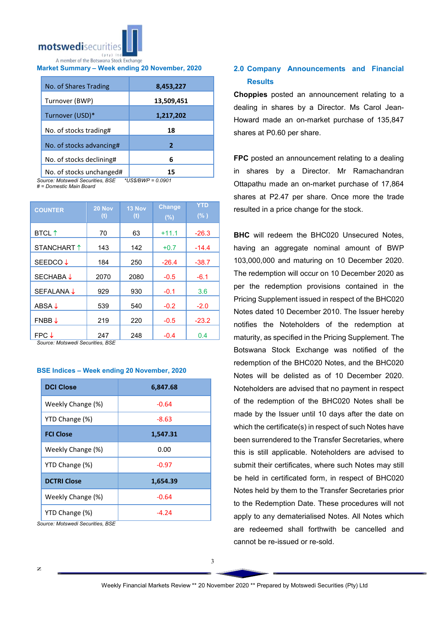

# Market Summary – Week ending 20 November, 2020

| No. of Shares Trading    | 8,453,227  |
|--------------------------|------------|
| Turnover (BWP)           | 13,509,451 |
| Turnover (USD)*          | 1,217,202  |
| No. of stocks trading#   | 18         |
| No. of stocks advancing# | 2          |
| No. of stocks declining# | 6          |
| No. of stocks unchanged# |            |

*Source: Motswedi Securities, BSE \*US\$/BWP = 0.0901*

*# = Domestic Main Board*

| <b>COUNTER</b>           | 20 Nov<br>$\bf(t)$ | 13 Nov<br>(t) | <b>Change</b><br>(%) | <b>YTD</b><br>(% ) |
|--------------------------|--------------------|---------------|----------------------|--------------------|
| <b>BTCL</b> <sup>↑</sup> | 70                 | 63            | $+11.1$              | $-26.3$            |
| STANCHART 1              | 143                | 142           | $+0.7$               | $-14.4$            |
| SEEDCO ↓                 | 184                | 250           | $-26.4$              | $-38.7$            |
| SECHABA ↓                | 2070               | 2080          | $-0.5$               | $-6.1$             |
| SEFALANA J               | 929                | 930           | $-0.1$               | 3.6                |
| ABSA $\downarrow$        | 539                | 540           | $-0.2$               | $-2.0$             |
| $FNBB \downarrow$        | 219                | 220           | $-0.5$               | $-23.2$            |
| $FPC \downarrow$         | 247                | 248           | $-0.4$               | 0.4                |

*Source: Motswedi Securities, BSE* 

## BSE Indices – Week ending 20 November, 2020

| <b>DCI Close</b>   | 6,847.68 |
|--------------------|----------|
| Weekly Change (%)  | $-0.64$  |
| YTD Change (%)     | $-8.63$  |
| <b>FCI Close</b>   | 1,547.31 |
| Weekly Change (%)  | 0.00     |
| YTD Change (%)     | $-0.97$  |
| <b>DCTRI Close</b> | 1,654.39 |
| Weekly Change (%)  | $-0.64$  |
| YTD Change (%)     | $-4.24$  |

*Source: Motswedi Securities, BSE*

# 2.0 Company Announcements and Financial **Results**

Choppies posted an announcement relating to a dealing in shares by a Director. Ms Carol Jean-Howard made an on-market purchase of 135,847 shares at P0.60 per share.

FPC posted an announcement relating to a dealing in shares by a Director. Mr Ramachandran Ottapathu made an on-market purchase of 17,864 shares at P2.47 per share. Once more the trade resulted in a price change for the stock.

**BHC** will redeem the BHC020 Unsecured Notes, having an aggregate nominal amount of BWP 103,000,000 and maturing on 10 December 2020. The redemption will occur on 10 December 2020 as per the redemption provisions contained in the Pricing Supplement issued in respect of the BHC020 Notes dated 10 December 2010. The Issuer hereby notifies the Noteholders of the redemption at maturity, as specified in the Pricing Supplement. The Botswana Stock Exchange was notified of the redemption of the BHC020 Notes, and the BHC020 Notes will be delisted as of 10 December 2020. Noteholders are advised that no payment in respect of the redemption of the BHC020 Notes shall be made by the Issuer until 10 days after the date on which the certificate(s) in respect of such Notes have been surrendered to the Transfer Secretaries, where this is still applicable. Noteholders are advised to submit their certificates, where such Notes may still be held in certificated form, in respect of BHC020 Notes held by them to the Transfer Secretaries prior to the Redemption Date. These procedures will not apply to any dematerialised Notes. All Notes which are redeemed shall forthwith be cancelled and cannot be re-issued or re-sold.

3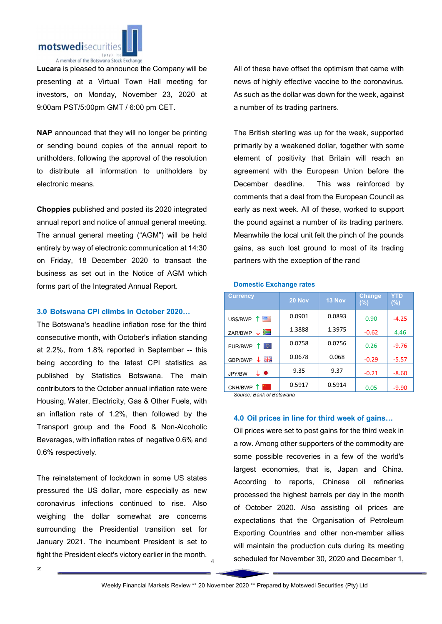

Lucara is pleased to announce the Company will be presenting at a Virtual Town Hall meeting for investors, on Monday, November 23, 2020 at 9:00am PST/5:00pm GMT / 6:00 pm CET.

NAP announced that they will no longer be printing or sending bound copies of the annual report to unitholders, following the approval of the resolution to distribute all information to unitholders by electronic means.

Choppies published and posted its 2020 integrated annual report and notice of annual general meeting. The annual general meeting ("AGM") will be held entirely by way of electronic communication at 14:30 on Friday, 18 December 2020 to transact the business as set out in the Notice of AGM which forms part of the Integrated Annual Report.

### 3.0 Botswana CPI climbs in October 2020…

The Botswana's headline inflation rose for the third consecutive month, with October's inflation standing at 2.2%, from 1.8% reported in September -- this being according to the latest CPI statistics as published by Statistics Botswana. The main contributors to the October annual inflation rate were Housing, Water, Electricity, Gas & Other Fuels, with an inflation rate of 1.2%, then followed by the Transport group and the Food & Non-Alcoholic Beverages, with inflation rates of negative 0.6% and 0.6% respectively.

The reinstatement of lockdown in some US states pressured the US dollar, more especially as new coronavirus infections continued to rise. Also weighing the dollar somewhat are concerns surrounding the Presidential transition set for January 2021. The incumbent President is set to fight the President elect's victory earlier in the month. All of these have offset the optimism that came with news of highly effective vaccine to the coronavirus. As such as the dollar was down for the week, against a number of its trading partners.

The British sterling was up for the week, supported primarily by a weakened dollar, together with some element of positivity that Britain will reach an agreement with the European Union before the December deadline. This was reinforced by comments that a deal from the European Council as early as next week. All of these, worked to support the pound against a number of its trading partners. Meanwhile the local unit felt the pinch of the pounds gains, as such lost ground to most of its trading partners with the exception of the rand

#### Domestic Exchange rates

| <b>Currency</b>    | 20 Nov | 13 Nov | <b>Change</b><br>(%) | <b>YTD</b><br>$(\%)$ |
|--------------------|--------|--------|----------------------|----------------------|
| 四<br>US\$/BWP      | 0.0901 | 0.0893 | 0.90                 | $-4.25$              |
| ↓<br>≻⊐<br>ZAR/BWP | 1.3888 | 1.3975 | $-0.62$              | 4.46                 |
| TO.<br>EUR/BWP     | 0.0758 | 0.0756 | 0.26                 | $-9.76$              |
| 릙푽<br>GBP/BWP      | 0.0678 | 0.068  | $-0.29$              | $-5.57$              |
| ↓●<br>JPY/BW       | 9.35   | 9.37   | $-0.21$              | $-8.60$              |
| CNH/BWP            | 0.5917 | 0.5914 | 0.05                 | -9.90                |

*Source: Bank of Botswana*

## 4.0 Oil prices in line for third week of gains…

Oil prices were set to post gains for the third week in a row. Among other supporters of the commodity are some possible recoveries in a few of the world's largest economies, that is, Japan and China. According to reports, Chinese oil refineries processed the highest barrels per day in the month of October 2020. Also assisting oil prices are expectations that the Organisation of Petroleum Exporting Countries and other non-member allies will maintain the production cuts during its meeting scheduled for November 30, 2020 and December 1,

4